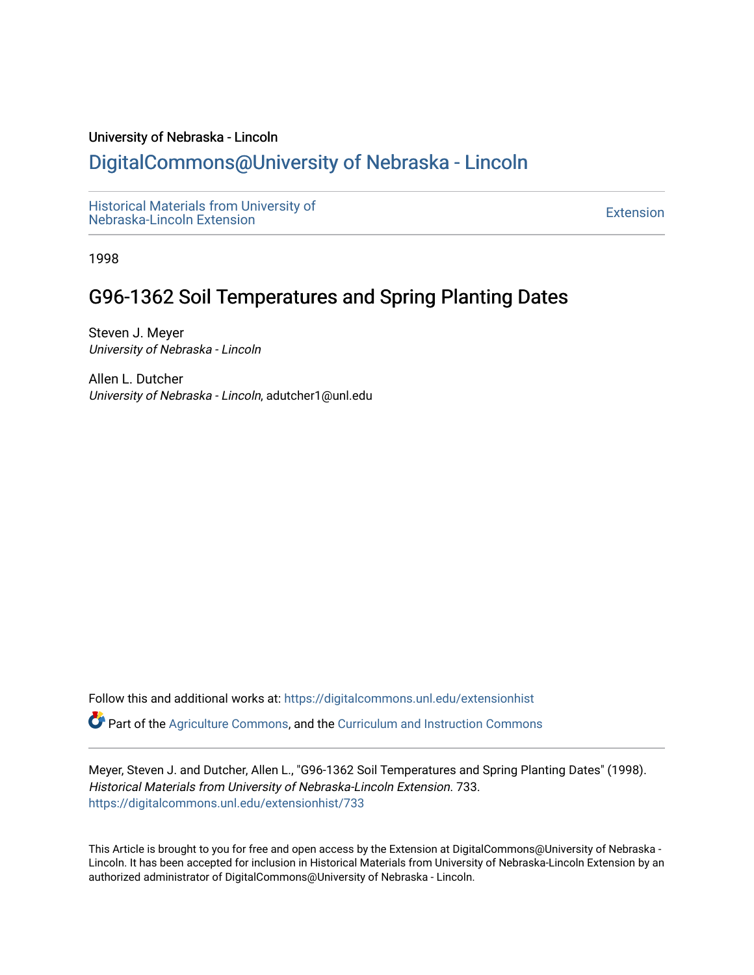#### University of Nebraska - Lincoln

## [DigitalCommons@University of Nebraska - Lincoln](https://digitalcommons.unl.edu/)

[Historical Materials from University of](https://digitalcommons.unl.edu/extensionhist)  nistorical Materials from Oniversity of the control of the control of the [Extension](https://digitalcommons.unl.edu/coop_extension) Extension extension of the<br>Nebraska-Lincoln Extension

1998

## G96-1362 Soil Temperatures and Spring Planting Dates

Steven J. Meyer University of Nebraska - Lincoln

Allen L. Dutcher University of Nebraska - Lincoln, adutcher1@unl.edu

Follow this and additional works at: [https://digitalcommons.unl.edu/extensionhist](https://digitalcommons.unl.edu/extensionhist?utm_source=digitalcommons.unl.edu%2Fextensionhist%2F733&utm_medium=PDF&utm_campaign=PDFCoverPages) 

Part of the [Agriculture Commons](http://network.bepress.com/hgg/discipline/1076?utm_source=digitalcommons.unl.edu%2Fextensionhist%2F733&utm_medium=PDF&utm_campaign=PDFCoverPages), and the [Curriculum and Instruction Commons](http://network.bepress.com/hgg/discipline/786?utm_source=digitalcommons.unl.edu%2Fextensionhist%2F733&utm_medium=PDF&utm_campaign=PDFCoverPages) 

Meyer, Steven J. and Dutcher, Allen L., "G96-1362 Soil Temperatures and Spring Planting Dates" (1998). Historical Materials from University of Nebraska-Lincoln Extension. 733. [https://digitalcommons.unl.edu/extensionhist/733](https://digitalcommons.unl.edu/extensionhist/733?utm_source=digitalcommons.unl.edu%2Fextensionhist%2F733&utm_medium=PDF&utm_campaign=PDFCoverPages) 

This Article is brought to you for free and open access by the Extension at DigitalCommons@University of Nebraska - Lincoln. It has been accepted for inclusion in Historical Materials from University of Nebraska-Lincoln Extension by an authorized administrator of DigitalCommons@University of Nebraska - Lincoln.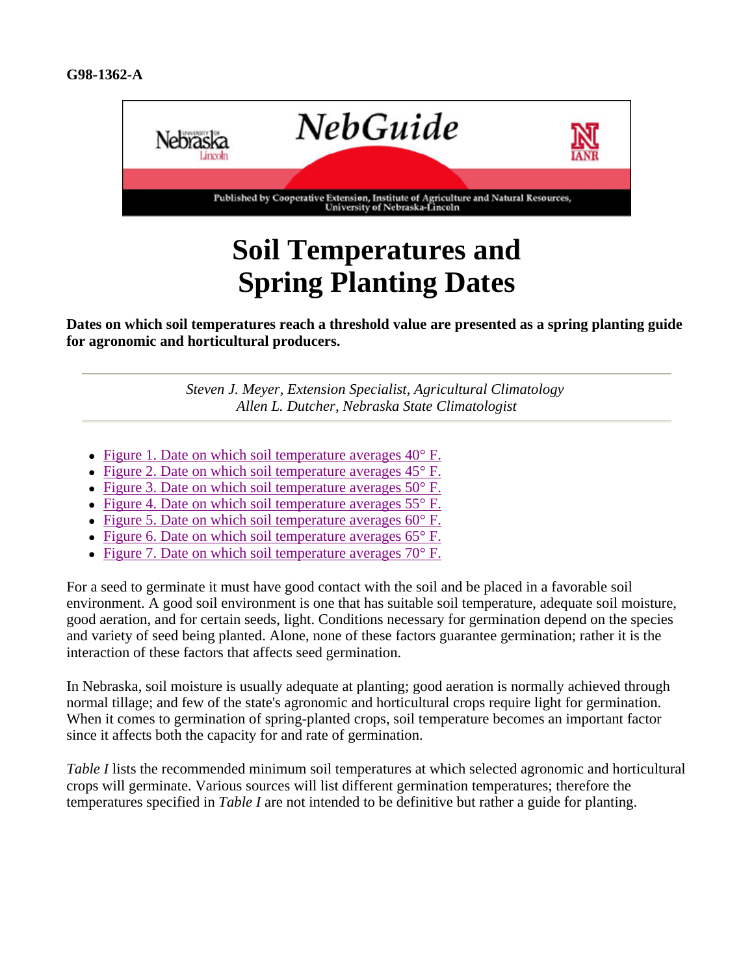

# **Soil Temperatures and Spring Planting Dates**

**Dates on which soil temperatures reach a threshold value are presented as a spring planting guide for agronomic and horticultural producers.**

> *Steven J. Meyer, Extension Specialist, Agricultural Climatology Allen L. Dutcher, Nebraska State Climatologist*

- Figure 1. Date on which soil temperature averages  $40^{\circ}$  F.
- Figure 2. Date on which soil temperature averages  $45^{\circ}$  F.
- Figure 3. Date on which soil temperature averages  $50^{\circ}$  F.
- Figure 4. Date on which soil temperature averages  $55^{\circ}$  F.
- Figure 5. Date on which soil temperature averages  $60^{\circ}$  F.
- Figure 6. Date on which soil temperature averages  $65^{\circ}$  F.
- Figure 7. Date on which soil temperature averages  $70^{\circ}$  F.

For a seed to germinate it must have good contact with the soil and be placed in a favorable soil environment. A good soil environment is one that has suitable soil temperature, adequate soil moisture, good aeration, and for certain seeds, light. Conditions necessary for germination depend on the species and variety of seed being planted. Alone, none of these factors guarantee germination; rather it is the interaction of these factors that affects seed germination.

In Nebraska, soil moisture is usually adequate at planting; good aeration is normally achieved through normal tillage; and few of the state's agronomic and horticultural crops require light for germination. When it comes to germination of spring-planted crops, soil temperature becomes an important factor since it affects both the capacity for and rate of germination.

*Table I* lists the recommended minimum soil temperatures at which selected agronomic and horticultural crops will germinate. Various sources will list different germination temperatures; therefore the temperatures specified in *Table I* are not intended to be definitive but rather a guide for planting.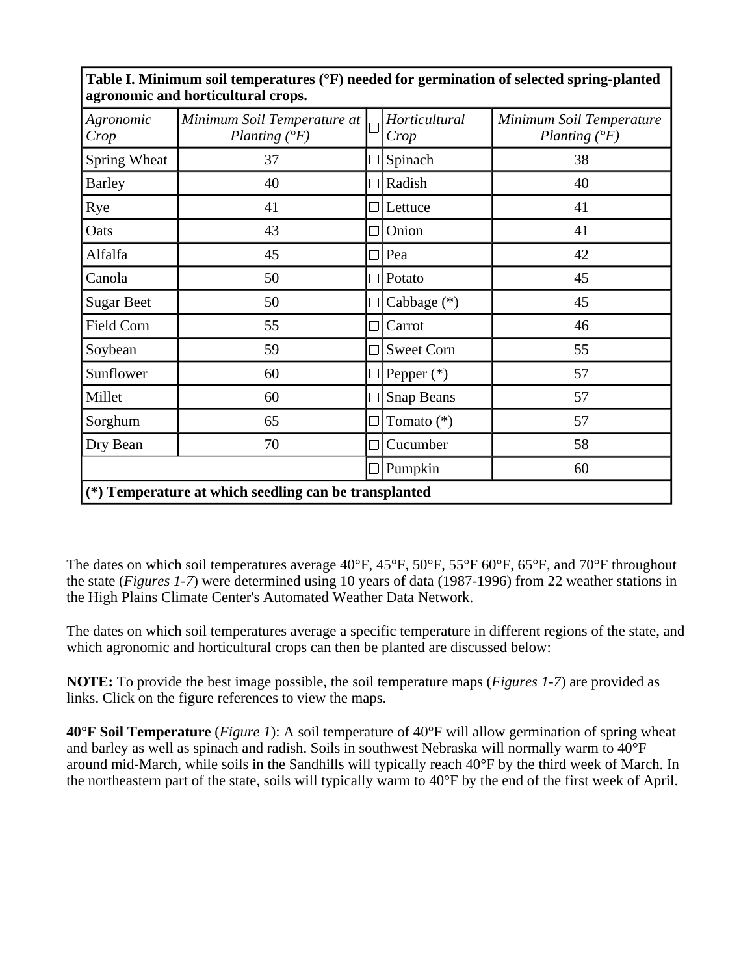| Agronomic<br>Crop | Minimum Soil Temperature at<br>Planting $(^{\circ}F)$ |                | Horticultural<br>Crop | Minimum Soil Temperature<br>Planting $(^{\circ}F)$ |
|-------------------|-------------------------------------------------------|----------------|-----------------------|----------------------------------------------------|
| Spring Wheat      | 37                                                    |                | Spinach               | 38                                                 |
| <b>Barley</b>     | 40                                                    | $\blacksquare$ | Radish                | 40                                                 |
| Rye               | 41                                                    |                | Lettuce               | 41                                                 |
| Oats              | 43                                                    |                | Onion                 | 41                                                 |
| Alfalfa           | 45                                                    | $\blacksquare$ | Pea                   | 42                                                 |
| Canola            | 50                                                    |                | Potato                | 45                                                 |
| <b>Sugar Beet</b> | 50                                                    |                | Cabbage $(*)$         | 45                                                 |
| Field Corn        | 55                                                    |                | Carrot                | 46                                                 |
| Soybean           | 59                                                    |                | <b>Sweet Corn</b>     | 55                                                 |
| Sunflower         | 60                                                    |                | Pepper $(*)$          | 57                                                 |
| Millet            | 60                                                    |                | <b>Snap Beans</b>     | 57                                                 |
| Sorghum           | 65                                                    |                | Tomato (*)            | 57                                                 |
| Dry Bean          | 70                                                    |                | Cucumber              | 58                                                 |
|                   |                                                       |                | Pumpkin               | 60                                                 |

**Table I. Minimum soil temperatures (°F) needed for germination of selected spring-planted agronomic and horticultural crops.**

The dates on which soil temperatures average 40°F, 45°F, 50°F, 55°F 60°F, 65°F, and 70°F throughout the state (*Figures 1-7*) were determined using 10 years of data (1987-1996) from 22 weather stations in the High Plains Climate Center's Automated Weather Data Network.

The dates on which soil temperatures average a specific temperature in different regions of the state, and which agronomic and horticultural crops can then be planted are discussed below:

**NOTE:** To provide the best image possible, the soil temperature maps (*Figures 1-7*) are provided as links. Click on the figure references to view the maps.

**40°F Soil Temperature** (*Figure 1*): A soil temperature of 40°F will allow germination of spring wheat and barley as well as spinach and radish. Soils in southwest Nebraska will normally warm to 40°F around mid-March, while soils in the Sandhills will typically reach 40°F by the third week of March. In the northeastern part of the state, soils will typically warm to 40°F by the end of the first week of April.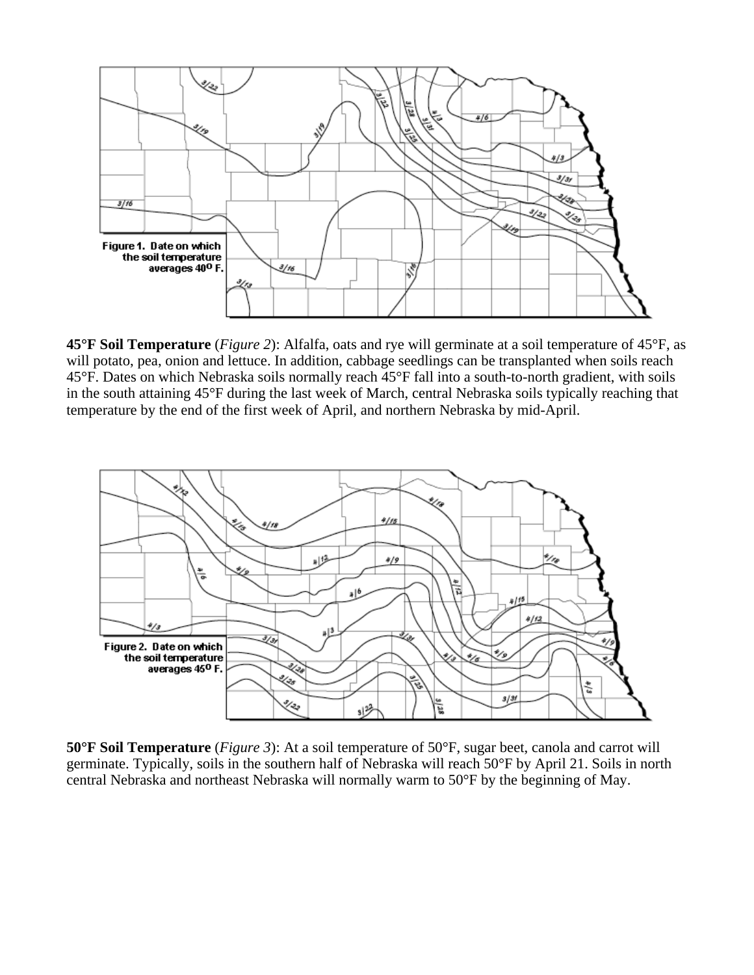

**45°F Soil Temperature** (*Figure 2*): Alfalfa, oats and rye will germinate at a soil temperature of 45°F, as will potato, pea, onion and lettuce. In addition, cabbage seedlings can be transplanted when soils reach 45°F. Dates on which Nebraska soils normally reach 45°F fall into a south-to-north gradient, with soils in the south attaining 45°F during the last week of March, central Nebraska soils typically reaching that temperature by the end of the first week of April, and northern Nebraska by mid-April.



**50°F Soil Temperature** (*Figure 3*): At a soil temperature of 50°F, sugar beet, canola and carrot will germinate. Typically, soils in the southern half of Nebraska will reach 50°F by April 21. Soils in north central Nebraska and northeast Nebraska will normally warm to 50°F by the beginning of May.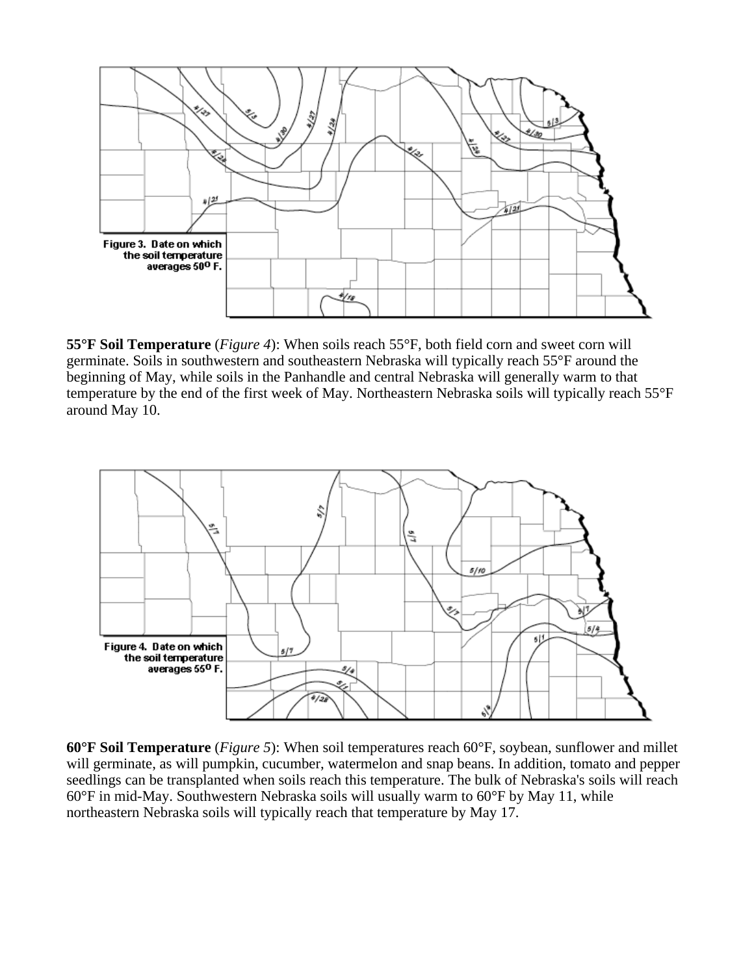

**55°F Soil Temperature** (*Figure 4*): When soils reach 55°F, both field corn and sweet corn will germinate. Soils in southwestern and southeastern Nebraska will typically reach 55°F around the beginning of May, while soils in the Panhandle and central Nebraska will generally warm to that temperature by the end of the first week of May. Northeastern Nebraska soils will typically reach 55°F around May 10.



**60°F Soil Temperature** (*Figure 5*): When soil temperatures reach 60°F, soybean, sunflower and millet will germinate, as will pumpkin, cucumber, watermelon and snap beans. In addition, tomato and pepper seedlings can be transplanted when soils reach this temperature. The bulk of Nebraska's soils will reach 60°F in mid-May. Southwestern Nebraska soils will usually warm to 60°F by May 11, while northeastern Nebraska soils will typically reach that temperature by May 17.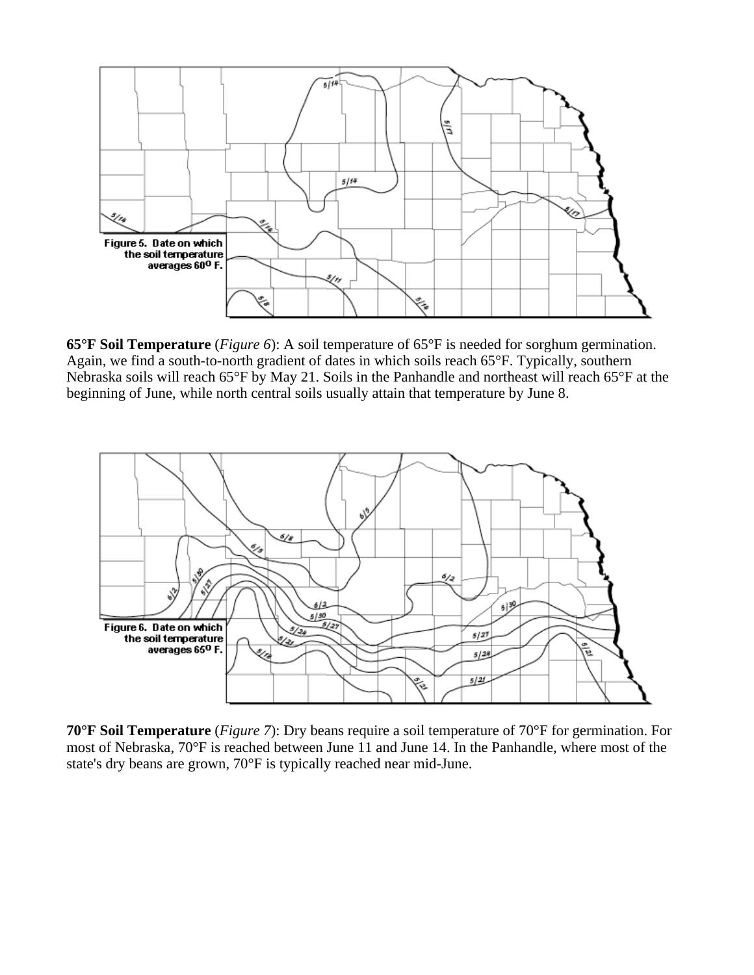

**65°F Soil Temperature** (*Figure 6*): A soil temperature of 65°F is needed for sorghum germination. Again, we find a south-to-north gradient of dates in which soils reach 65°F. Typically, southern Nebraska soils will reach 65°F by May 21. Soils in the Panhandle and northeast will reach 65°F at the beginning of June, while north central soils usually attain that temperature by June 8.



**70°F Soil Temperature** (*Figure 7*): Dry beans require a soil temperature of 70°F for germination. For most of Nebraska, 70°F is reached between June 11 and June 14. In the Panhandle, where most of the state's dry beans are grown, 70°F is typically reached near mid-June.